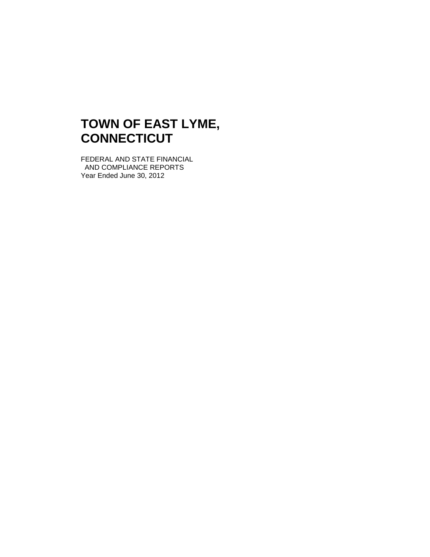FEDERAL AND STATE FINANCIAL AND COMPLIANCE REPORTS Year Ended June 30, 2012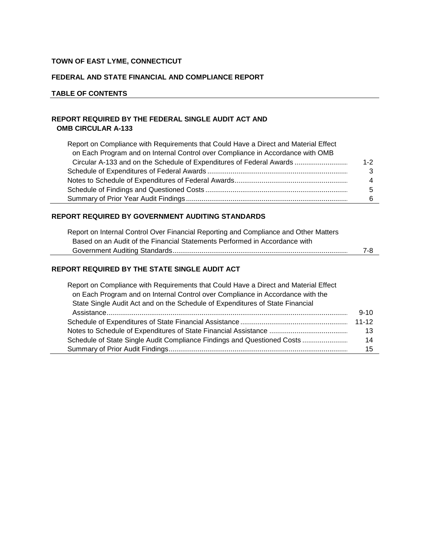# **FEDERAL AND STATE FINANCIAL AND COMPLIANCE REPORT**

# **TABLE OF CONTENTS**

# **REPORT REQUIRED BY THE FEDERAL SINGLE AUDIT ACT AND OMB CIRCULAR A-133**

| Report on Compliance with Requirements that Could Have a Direct and Material Effect |         |
|-------------------------------------------------------------------------------------|---------|
| on Each Program and on Internal Control over Compliance in Accordance with OMB      |         |
| Circular A-133 and on the Schedule of Expenditures of Federal Awards                | $1 - 2$ |
|                                                                                     |         |
|                                                                                     | 4       |
|                                                                                     | 5       |
|                                                                                     | 6       |

### **REPORT REQUIRED BY GOVERNMENT AUDITING STANDARDS**

| Report on Internal Control Over Financial Reporting and Compliance and Other Matters |     |
|--------------------------------------------------------------------------------------|-----|
| Based on an Audit of the Financial Statements Performed in Accordance with           |     |
|                                                                                      | 7-8 |

# **REPORT REQUIRED BY THE STATE SINGLE AUDIT ACT**

| Report on Compliance with Requirements that Could Have a Direct and Material Effect |          |
|-------------------------------------------------------------------------------------|----------|
| on Each Program and on Internal Control over Compliance in Accordance with the      |          |
| State Single Audit Act and on the Schedule of Expenditures of State Financial       |          |
|                                                                                     | $9 - 10$ |
|                                                                                     |          |
|                                                                                     | 13       |
| Schedule of State Single Audit Compliance Findings and Questioned Costs             | 14       |
|                                                                                     | 15       |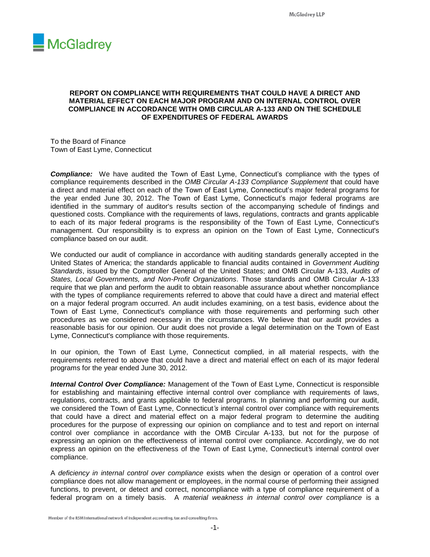

#### **REPORT ON COMPLIANCE WITH REQUIREMENTS THAT COULD HAVE A DIRECT AND MATERIAL EFFECT ON EACH MAJOR PROGRAM AND ON INTERNAL CONTROL OVER COMPLIANCE IN ACCORDANCE WITH OMB CIRCULAR A-133 AND ON THE SCHEDULE OF EXPENDITURES OF FEDERAL AWARDS**

To the Board of Finance Town of East Lyme, Connecticut

*Compliance:* We have audited the Town of East Lyme, Connecticut's compliance with the types of compliance requirements described in the *OMB Circular A-133 Compliance Supplement* that could have a direct and material effect on each of the Town of East Lyme, Connecticut's major federal programs for the year ended June 30, 2012. The Town of East Lyme, Connecticut's major federal programs are identified in the summary of auditor's results section of the accompanying schedule of findings and questioned costs. Compliance with the requirements of laws, regulations, contracts and grants applicable to each of its major federal programs is the responsibility of the Town of East Lyme, Connecticut's management. Our responsibility is to express an opinion on the Town of East Lyme, Connecticut's compliance based on our audit.

We conducted our audit of compliance in accordance with auditing standards generally accepted in the United States of America; the standards applicable to financial audits contained in *Government Auditing Standards*, issued by the Comptroller General of the United States; and OMB Circular A-133, *Audits of States, Local Governments, and Non-Profit Organizations*. Those standards and OMB Circular A-133 require that we plan and perform the audit to obtain reasonable assurance about whether noncompliance with the types of compliance requirements referred to above that could have a direct and material effect on a major federal program occurred. An audit includes examining, on a test basis, evidence about the Town of East Lyme, Connecticut's compliance with those requirements and performing such other procedures as we considered necessary in the circumstances. We believe that our audit provides a reasonable basis for our opinion. Our audit does not provide a legal determination on the Town of East Lyme, Connecticut's compliance with those requirements.

In our opinion, the Town of East Lyme, Connecticut complied, in all material respects, with the requirements referred to above that could have a direct and material effect on each of its major federal programs for the year ended June 30, 2012.

*Internal Control Over Compliance:* Management of the Town of East Lyme, Connecticut is responsible for establishing and maintaining effective internal control over compliance with requirements of laws, regulations, contracts, and grants applicable to federal programs. In planning and performing our audit, we considered the Town of East Lyme, Connecticut*'s* internal control over compliance with requirements that could have a direct and material effect on a major federal program to determine the auditing procedures for the purpose of expressing our opinion on compliance and to test and report on internal control over compliance in accordance with the OMB Circular A-133, but not for the purpose of expressing an opinion on the effectiveness of internal control over compliance. Accordingly, we do not express an opinion on the effectiveness of the Town of East Lyme, Connecticut*'*s internal control over compliance.

A *deficiency in internal control over compliance* exists when the design or operation of a control over compliance does not allow management or employees, in the normal course of performing their assigned functions, to prevent, or detect and correct, noncompliance with a type of compliance requirement of a federal program on a timely basis. A *material weakness in internal control over compliance* is a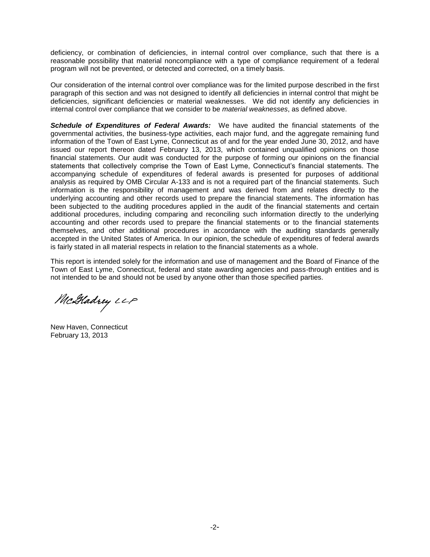deficiency, or combination of deficiencies, in internal control over compliance, such that there is a reasonable possibility that material noncompliance with a type of compliance requirement of a federal program will not be prevented, or detected and corrected, on a timely basis.

Our consideration of the internal control over compliance was for the limited purpose described in the first paragraph of this section and was not designed to identify all deficiencies in internal control that might be deficiencies, significant deficiencies or material weaknesses. We did not identify any deficiencies in internal control over compliance that we consider to be *material weaknesses*, as defined above.

*Schedule of Expenditures of Federal Awards:* We have audited the financial statements of the governmental activities, the business-type activities, each major fund, and the aggregate remaining fund information of the Town of East Lyme, Connecticut as of and for the year ended June 30, 2012, and have issued our report thereon dated February 13, 2013, which contained unqualified opinions on those financial statements. Our audit was conducted for the purpose of forming our opinions on the financial statements that collectively comprise the Town of East Lyme, Connecticut's financial statements. The accompanying schedule of expenditures of federal awards is presented for purposes of additional analysis as required by OMB Circular A-133 and is not a required part of the financial statements. Such information is the responsibility of management and was derived from and relates directly to the underlying accounting and other records used to prepare the financial statements. The information has been subjected to the auditing procedures applied in the audit of the financial statements and certain additional procedures, including comparing and reconciling such information directly to the underlying accounting and other records used to prepare the financial statements or to the financial statements themselves, and other additional procedures in accordance with the auditing standards generally accepted in the United States of America. In our opinion, the schedule of expenditures of federal awards is fairly stated in all material respects in relation to the financial statements as a whole.

This report is intended solely for the information and use of management and the Board of Finance of the Town of East Lyme, Connecticut, federal and state awarding agencies and pass-through entities and is not intended to be and should not be used by anyone other than those specified parties.

McHadrey LLP

New Haven, Connecticut February 13, 2013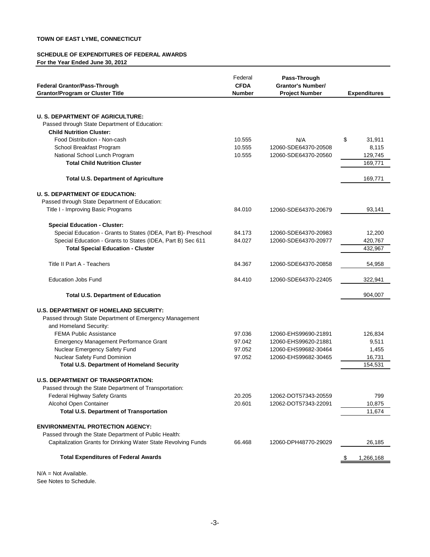#### **SCHEDULE OF EXPENDITURES OF FEDERAL AWARDS For the Year Ended June 30, 2012**

| Federal Grantor/Pass-Through                                   | Federal<br><b>CFDA</b> | Pass-Through<br><b>Grantor's Number/</b> |                     |
|----------------------------------------------------------------|------------------------|------------------------------------------|---------------------|
| <b>Grantor/Program or Cluster Title</b>                        | <b>Number</b>          | <b>Project Number</b>                    | <b>Expenditures</b> |
| <b>U. S. DEPARTMENT OF AGRICULTURE:</b>                        |                        |                                          |                     |
| Passed through State Department of Education:                  |                        |                                          |                     |
| <b>Child Nutrition Cluster:</b>                                |                        |                                          |                     |
| Food Distribution - Non-cash                                   | 10.555                 | N/A                                      | \$<br>31,911        |
| School Breakfast Program                                       | 10.555                 | 12060-SDE64370-20508                     | 8,115               |
| National School Lunch Program                                  | 10.555                 | 12060-SDE64370-20560                     | 129,745             |
| <b>Total Child Nutrition Cluster</b>                           |                        |                                          | 169.771             |
| <b>Total U.S. Department of Agriculture</b>                    |                        |                                          | 169,771             |
| <b>U. S. DEPARTMENT OF EDUCATION:</b>                          |                        |                                          |                     |
| Passed through State Department of Education:                  |                        |                                          |                     |
| Title I - Improving Basic Programs                             | 84.010                 | 12060-SDE64370-20679                     | 93,141              |
| <b>Special Education - Cluster:</b>                            |                        |                                          |                     |
| Special Education - Grants to States (IDEA, Part B)- Preschool | 84.173                 | 12060-SDE64370-20983                     | 12,200              |
| Special Education - Grants to States (IDEA, Part B) Sec 611    | 84.027                 | 12060-SDE64370-20977                     | 420,767             |
| <b>Total Special Education - Cluster</b>                       |                        |                                          | 432,967             |
|                                                                |                        |                                          |                     |
| Title II Part A - Teachers                                     | 84.367                 | 12060-SDE64370-20858                     | 54,958              |
| <b>Education Jobs Fund</b>                                     | 84.410                 | 12060-SDE64370-22405                     | 322,941             |
| <b>Total U.S. Department of Education</b>                      |                        |                                          | 904,007             |
| <b>U.S. DEPARTMENT OF HOMELAND SECURITY:</b>                   |                        |                                          |                     |
| Passed through State Department of Emergency Management        |                        |                                          |                     |
| and Homeland Security:                                         |                        |                                          |                     |
| <b>FEMA Public Assistance</b>                                  | 97.036                 | 12060-EHS99690-21891                     | 126,834             |
| <b>Emergency Management Performance Grant</b>                  | 97.042                 | 12060-EHS99620-21881                     | 9,511               |
| Nuclear Emergency Safety Fund                                  | 97.052                 | 12060-EHS99682-30464                     | 1,455               |
| Nuclear Safety Fund Dominion                                   | 97.052                 | 12060-EHS99682-30465                     | 16,731              |
| <b>Total U.S. Department of Homeland Security</b>              |                        |                                          | 154,531             |
| <b>U.S. DEPARTMENT OF TRANSPORTATION:</b>                      |                        |                                          |                     |
| Passed through the State Department of Transportation:         |                        |                                          |                     |
| Federal Highway Safety Grants                                  | 20.205                 | 12062-DOT57343-20559                     | 799                 |
| Alcohol Open Container                                         | 20.601                 | 12062-DOT57343-22091                     | 10,875              |
| <b>Total U.S. Department of Transportation</b>                 |                        |                                          | 11,674              |
|                                                                |                        |                                          |                     |
| <b>ENVIRONMENTAL PROTECTION AGENCY:</b>                        |                        |                                          |                     |
| Passed through the State Department of Public Health:          |                        |                                          |                     |
| Capitalization Grants for Drinking Water State Revolving Funds | 66.468                 | 12060-DPH48770-29029                     | 26,185              |
| <b>Total Expenditures of Federal Awards</b>                    |                        |                                          | 1,266,168           |
|                                                                |                        |                                          |                     |

N/A = Not Available. See Notes to Schedule.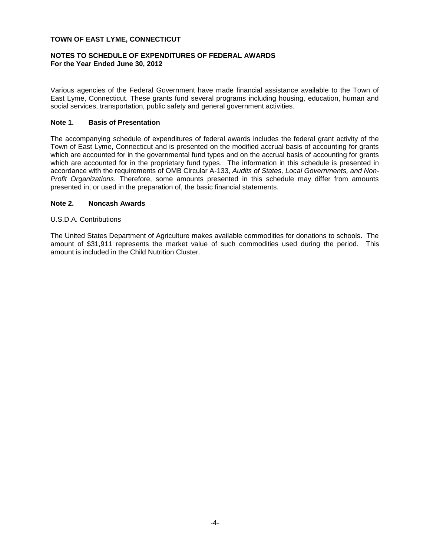## **NOTES TO SCHEDULE OF EXPENDITURES OF FEDERAL AWARDS For the Year Ended June 30, 2012**

Various agencies of the Federal Government have made financial assistance available to the Town of East Lyme, Connecticut. These grants fund several programs including housing, education, human and social services, transportation, public safety and general government activities.

#### **Note 1. Basis of Presentation**

The accompanying schedule of expenditures of federal awards includes the federal grant activity of the Town of East Lyme, Connecticut and is presented on the modified accrual basis of accounting for grants which are accounted for in the governmental fund types and on the accrual basis of accounting for grants which are accounted for in the proprietary fund types. The information in this schedule is presented in accordance with the requirements of OMB Circular A-133, *Audits of States, Local Governments, and Non-Profit Organizations*. Therefore, some amounts presented in this schedule may differ from amounts presented in, or used in the preparation of, the basic financial statements.

#### **Note 2. Noncash Awards**

#### U.S.D.A. Contributions

The United States Department of Agriculture makes available commodities for donations to schools. The amount of \$31,911 represents the market value of such commodities used during the period. This amount is included in the Child Nutrition Cluster.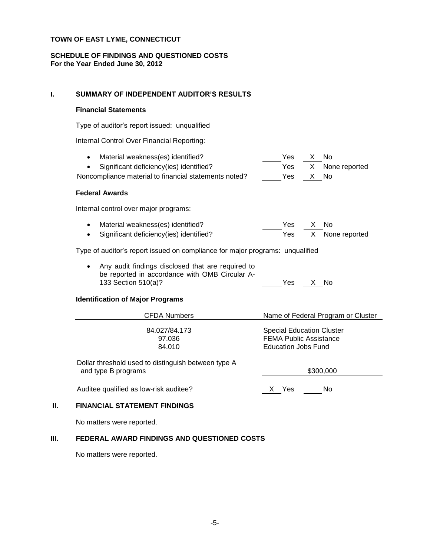## **SCHEDULE OF FINDINGS AND QUESTIONED COSTS For the Year Ended June 30, 2012**

# **I. SUMMARY OF INDEPENDENT AUDITOR'S RESULTS**

### **Financial Statements**

Type of auditor's report issued: unqualified

Internal Control Over Financial Reporting:

| Material weakness(es) identified?<br>Significant deficiency(ies) identified?<br>Noncompliance material to financial statements noted? | No<br>Yes<br>X.<br>Yes<br>X.<br>None reported<br>Yes<br>$\mathsf{X}$<br>No                      |
|---------------------------------------------------------------------------------------------------------------------------------------|-------------------------------------------------------------------------------------------------|
| <b>Federal Awards</b>                                                                                                                 |                                                                                                 |
| Internal control over major programs:                                                                                                 |                                                                                                 |
| Material weakness(es) identified?<br>Significant deficiency(ies) identified?<br>٠                                                     | No<br>Yes<br>X.<br>Yes<br>X.<br>None reported                                                   |
| Type of auditor's report issued on compliance for major programs: unqualified                                                         |                                                                                                 |
| Any audit findings disclosed that are required to<br>be reported in accordance with OMB Circular A-<br>133 Section 510(a)?            | Yes<br>X No                                                                                     |
| <b>Identification of Major Programs</b>                                                                                               |                                                                                                 |
| <b>CFDA Numbers</b>                                                                                                                   | Name of Federal Program or Cluster                                                              |
| 84.027/84.173<br>97.036<br>84.010                                                                                                     | <b>Special Education Cluster</b><br><b>FEMA Public Assistance</b><br><b>Education Jobs Fund</b> |
| Dollar threshold used to distinguish between type A<br>and type B programs                                                            | \$300,000                                                                                       |
| Auditee qualified as low-risk auditee?                                                                                                | Yes<br>X.<br>No                                                                                 |

#### **II. FINANCIAL STATEMENT FINDINGS**

No matters were reported.

# **III. FEDERAL AWARD FINDINGS AND QUESTIONED COSTS**

No matters were reported.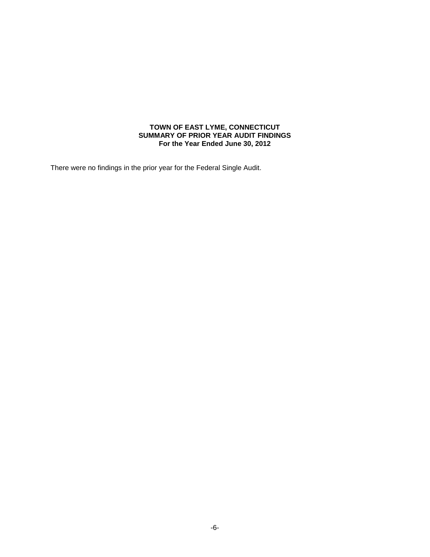#### **TOWN OF EAST LYME, CONNECTICUT SUMMARY OF PRIOR YEAR AUDIT FINDINGS For the Year Ended June 30, 2012**

There were no findings in the prior year for the Federal Single Audit.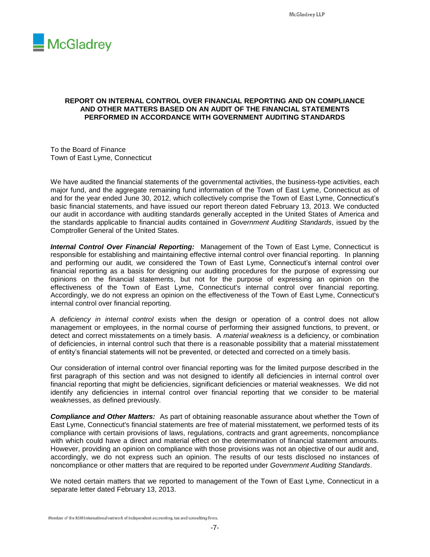

#### **REPORT ON INTERNAL CONTROL OVER FINANCIAL REPORTING AND ON COMPLIANCE AND OTHER MATTERS BASED ON AN AUDIT OF THE FINANCIAL STATEMENTS PERFORMED IN ACCORDANCE WITH GOVERNMENT AUDITING STANDARDS**

To the Board of Finance Town of East Lyme, Connecticut

We have audited the financial statements of the governmental activities, the business-type activities, each major fund, and the aggregate remaining fund information of the Town of East Lyme, Connecticut as of and for the year ended June 30, 2012, which collectively comprise the Town of East Lyme, Connecticut's basic financial statements, and have issued our report thereon dated February 13, 2013. We conducted our audit in accordance with auditing standards generally accepted in the United States of America and the standards applicable to financial audits contained in *Government Auditing Standards*, issued by the Comptroller General of the United States.

*Internal Control Over Financial Reporting:* Management of the Town of East Lyme, Connecticut is responsible for establishing and maintaining effective internal control over financial reporting. In planning and performing our audit, we considered the Town of East Lyme, Connecticut's internal control over financial reporting as a basis for designing our auditing procedures for the purpose of expressing our opinions on the financial statements, but not for the purpose of expressing an opinion on the effectiveness of the Town of East Lyme, Connecticut's internal control over financial reporting. Accordingly, we do not express an opinion on the effectiveness of the Town of East Lyme, Connecticut's internal control over financial reporting.

A *deficiency in internal control* exists when the design or operation of a control does not allow management or employees, in the normal course of performing their assigned functions, to prevent, or detect and correct misstatements on a timely basis. A *material weakness* is a deficiency, or combination of deficiencies, in internal control such that there is a reasonable possibility that a material misstatement of entity's financial statements will not be prevented, or detected and corrected on a timely basis.

Our consideration of internal control over financial reporting was for the limited purpose described in the first paragraph of this section and was not designed to identify all deficiencies in internal control over financial reporting that might be deficiencies, significant deficiencies or material weaknesses. We did not identify any deficiencies in internal control over financial reporting that we consider to be material weaknesses, as defined previously.

*Compliance and Other Matters:* As part of obtaining reasonable assurance about whether the Town of East Lyme, Connecticut's financial statements are free of material misstatement, we performed tests of its compliance with certain provisions of laws, regulations, contracts and grant agreements, noncompliance with which could have a direct and material effect on the determination of financial statement amounts. However, providing an opinion on compliance with those provisions was not an objective of our audit and, accordingly, we do not express such an opinion. The results of our tests disclosed no instances of noncompliance or other matters that are required to be reported under *Government Auditing Standards*.

We noted certain matters that we reported to management of the Town of East Lyme, Connecticut in a separate letter dated February 13, 2013.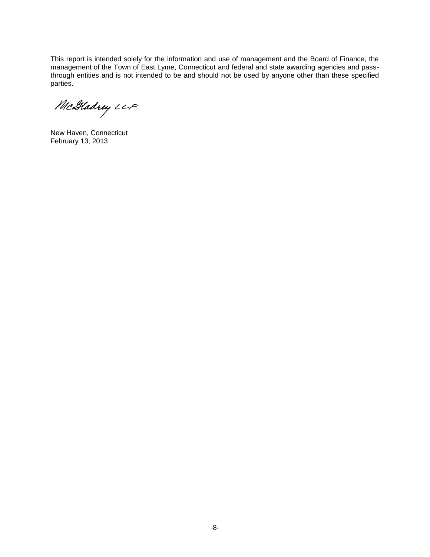This report is intended solely for the information and use of management and the Board of Finance, the management of the Town of East Lyme, Connecticut and federal and state awarding agencies and passthrough entities and is not intended to be and should not be used by anyone other than these specified parties.

McHadrey LLP

New Haven, Connecticut February 13, 2013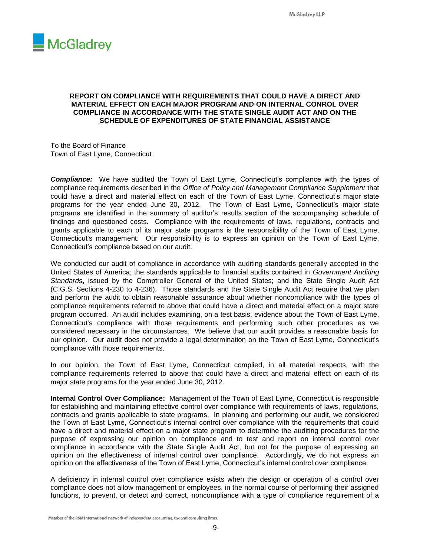

#### **REPORT ON COMPLIANCE WITH REQUIREMENTS THAT COULD HAVE A DIRECT AND MATERIAL EFFECT ON EACH MAJOR PROGRAM AND ON INTERNAL CONROL OVER COMPLIANCE IN ACCORDANCE WITH THE STATE SINGLE AUDIT ACT AND ON THE SCHEDULE OF EXPENDITURES OF STATE FINANCIAL ASSISTANCE**

To the Board of Finance Town of East Lyme, Connecticut

*Compliance:* We have audited the Town of East Lyme, Connecticut's compliance with the types of compliance requirements described in the *Office of Policy and Management Compliance Supplement* that could have a direct and material effect on each of the Town of East Lyme, Connecticut's major state programs for the year ended June 30, 2012. The Town of East Lyme, Connecticut's major state programs are identified in the summary of auditor's results section of the accompanying schedule of findings and questioned costs. Compliance with the requirements of laws, regulations, contracts and grants applicable to each of its major state programs is the responsibility of the Town of East Lyme, Connecticut's management. Our responsibility is to express an opinion on the Town of East Lyme, Connecticut's compliance based on our audit.

We conducted our audit of compliance in accordance with auditing standards generally accepted in the United States of America; the standards applicable to financial audits contained in *Government Auditing Standards*, issued by the Comptroller General of the United States; and the State Single Audit Act (C.G.S. Sections 4-230 to 4-236). Those standards and the State Single Audit Act require that we plan and perform the audit to obtain reasonable assurance about whether noncompliance with the types of compliance requirements referred to above that could have a direct and material effect on a major state program occurred. An audit includes examining, on a test basis, evidence about the Town of East Lyme, Connecticut's compliance with those requirements and performing such other procedures as we considered necessary in the circumstances. We believe that our audit provides a reasonable basis for our opinion. Our audit does not provide a legal determination on the Town of East Lyme, Connecticut's compliance with those requirements.

In our opinion, the Town of East Lyme, Connecticut complied, in all material respects, with the compliance requirements referred to above that could have a direct and material effect on each of its major state programs for the year ended June 30, 2012.

**Internal Control Over Compliance:** Management of the Town of East Lyme, Connecticut is responsible for establishing and maintaining effective control over compliance with requirements of laws, regulations, contracts and grants applicable to state programs. In planning and performing our audit, we considered the Town of East Lyme, Connecticut's internal control over compliance with the requirements that could have a direct and material effect on a major state program to determine the auditing procedures for the purpose of expressing our opinion on compliance and to test and report on internal control over compliance in accordance with the State Single Audit Act, but not for the purpose of expressing an opinion on the effectiveness of internal control over compliance. Accordingly, we do not express an opinion on the effectiveness of the Town of East Lyme, Connecticut's internal control over compliance.

A deficiency in internal control over compliance exists when the design or operation of a control over compliance does not allow management or employees, in the normal course of performing their assigned functions, to prevent, or detect and correct, noncompliance with a type of compliance requirement of a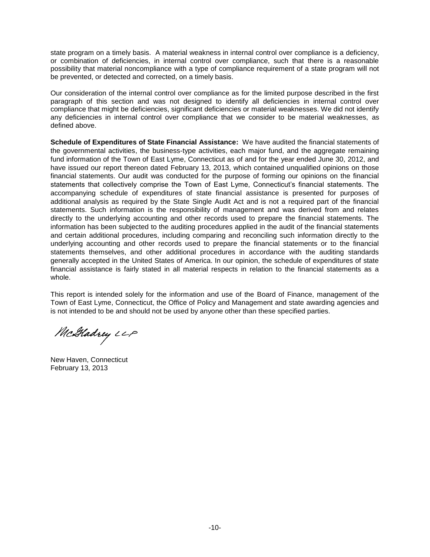state program on a timely basis. A material weakness in internal control over compliance is a deficiency, or combination of deficiencies, in internal control over compliance, such that there is a reasonable possibility that material noncompliance with a type of compliance requirement of a state program will not be prevented, or detected and corrected, on a timely basis.

Our consideration of the internal control over compliance as for the limited purpose described in the first paragraph of this section and was not designed to identify all deficiencies in internal control over compliance that might be deficiencies, significant deficiencies or material weaknesses. We did not identify any deficiencies in internal control over compliance that we consider to be material weaknesses, as defined above.

**Schedule of Expenditures of State Financial Assistance:** We have audited the financial statements of the governmental activities, the business-type activities, each major fund, and the aggregate remaining fund information of the Town of East Lyme, Connecticut as of and for the year ended June 30, 2012, and have issued our report thereon dated February 13, 2013, which contained unqualified opinions on those financial statements. Our audit was conducted for the purpose of forming our opinions on the financial statements that collectively comprise the Town of East Lyme, Connecticut's financial statements. The accompanying schedule of expenditures of state financial assistance is presented for purposes of additional analysis as required by the State Single Audit Act and is not a required part of the financial statements. Such information is the responsibility of management and was derived from and relates directly to the underlying accounting and other records used to prepare the financial statements. The information has been subjected to the auditing procedures applied in the audit of the financial statements and certain additional procedures, including comparing and reconciling such information directly to the underlying accounting and other records used to prepare the financial statements or to the financial statements themselves, and other additional procedures in accordance with the auditing standards generally accepted in the United States of America. In our opinion, the schedule of expenditures of state financial assistance is fairly stated in all material respects in relation to the financial statements as a whole.

This report is intended solely for the information and use of the Board of Finance, management of the Town of East Lyme, Connecticut, the Office of Policy and Management and state awarding agencies and is not intended to be and should not be used by anyone other than these specified parties.

McGladrey LLP

New Haven, Connecticut February 13, 2013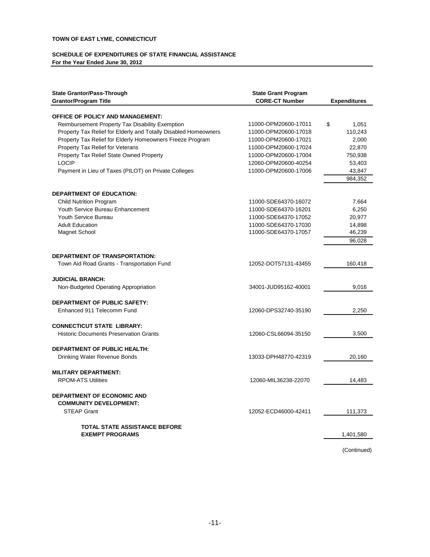#### **SCHEDULE OF EXPENDITURES OF STATE FINANCIAL ASSISTANCE For the Year Ended June 30, 2012**

| <b>State Grantor/Pass-Through</b><br><b>Grantor/Program Title</b> | <b>State Grant Program</b><br><b>CORE-CT Number</b> | <b>Expenditures</b> |
|-------------------------------------------------------------------|-----------------------------------------------------|---------------------|
| <b>OFFICE OF POLICY AND MANAGEMENT:</b>                           |                                                     |                     |
| Reimbursement Property Tax Disability Exemption                   | 11000-OPM20600-17011                                | \$<br>1,051         |
| Property Tax Relief for Elderly and Totally Disabled Homeowners   | 11000-OPM20600-17018                                | 110,243             |
| Property Tax Relief for Elderly Homeowners Freeze Program         | 11000-OPM20600-17021                                | 2,000               |
| Property Tax Relief for Veterans                                  | 11000-OPM20600-17024                                | 22,870              |
| Property Tax Relief State Owned Property                          | 11000-OPM20600-17004                                | 750,938             |
| <b>LOCIP</b>                                                      | 12060-OPM20600-40254                                | 53,403              |
| Payment in Lieu of Taxes (PILOT) on Private Colleges              | 11000-OPM20600-17006                                | 43,847              |
|                                                                   |                                                     | 984,352             |
| <b>DEPARTMENT OF EDUCATION:</b>                                   |                                                     |                     |
| <b>Child Nutrition Program</b>                                    | 11000-SDE64370-16072                                | 7,664               |
| Youth Service Bureau Enhancement                                  | 11000-SDE64370-16201                                | 6,250               |
| Youth Service Bureau                                              | 11000-SDE64370-17052                                | 20,977              |
| <b>Adult Education</b>                                            | 11000-SDE64370-17030                                | 14,898              |
| Magnet School                                                     | 11000-SDE64370-17057                                | 46,239              |
|                                                                   |                                                     | 96,028              |
| <b>DEPARTMENT OF TRANSPORTATION:</b>                              |                                                     |                     |
| Town Aid Road Grants - Transportation Fund                        | 12052-DOT57131-43455                                | 160,418             |
| <b>JUDICIAL BRANCH:</b>                                           |                                                     |                     |
| Non-Budgeted Operating Appropriation                              | 34001-JUD95162-40001                                | 9,016               |
| <b>DEPARTMENT OF PUBLIC SAFETY:</b>                               |                                                     |                     |
| Enhanced 911 Telecomm Fund                                        | 12060-DPS32740-35190                                | 2,250               |
| <b>CONNECTICUT STATE LIBRARY:</b>                                 |                                                     |                     |
| <b>Historic Documents Preservation Grants</b>                     | 12060-CSL66094-35150                                | 3,500               |
| DEPARTMENT OF PUBLIC HEALTH:                                      |                                                     |                     |
| Drinking Water Revenue Bonds                                      | 13033-DPH48770-42319                                | 20,160              |
| <b>MILITARY DEPARTMENT:</b>                                       |                                                     |                     |
| <b>RPOM-ATS Utilities</b>                                         | 12060-MIL36238-22070                                | 14,483              |
| <b>DEPARTMENT OF ECONOMIC AND</b>                                 |                                                     |                     |
| <b>COMMUNITY DEVELOPMENT:</b>                                     |                                                     |                     |
| <b>STEAP Grant</b>                                                | 12052-ECD46000-42411                                | 111,373             |
| <b>TOTAL STATE ASSISTANCE BEFORE</b>                              |                                                     |                     |
| <b>EXEMPT PROGRAMS</b>                                            |                                                     | 1,401,580           |

(Continued)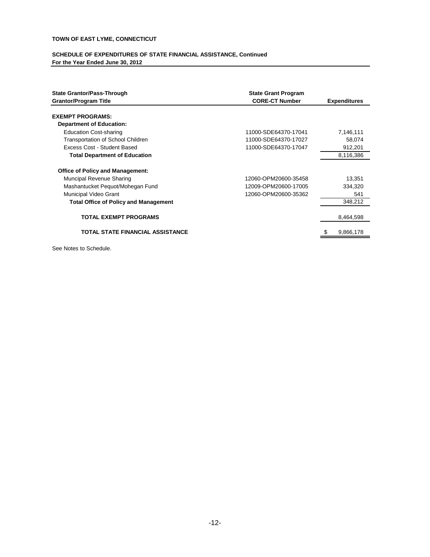#### **SCHEDULE OF EXPENDITURES OF STATE FINANCIAL ASSISTANCE, Continued For the Year Ended June 30, 2012**

| <b>State Grantor/Pass-Through</b>            | <b>State Grant Program</b> |                     |
|----------------------------------------------|----------------------------|---------------------|
| <b>Grantor/Program Title</b>                 | <b>CORE-CT Number</b>      | <b>Expenditures</b> |
|                                              |                            |                     |
| <b>EXEMPT PROGRAMS:</b>                      |                            |                     |
| <b>Department of Education:</b>              |                            |                     |
| <b>Education Cost-sharing</b>                | 11000-SDE64370-17041       | 7,146,111           |
| Transportation of School Children            | 11000-SDE64370-17027       | 58,074              |
| Excess Cost - Student Based                  | 11000-SDE64370-17047       | 912,201             |
| <b>Total Department of Education</b>         |                            | 8,116,386           |
| <b>Office of Policy and Management:</b>      |                            |                     |
| <b>Muncipal Revenue Sharing</b>              | 12060-OPM20600-35458       | 13,351              |
| Mashantucket Pequot/Mohegan Fund             | 12009-OPM20600-17005       | 334,320             |
| <b>Municipal Video Grant</b>                 | 12060-OPM20600-35362       | 541                 |
| <b>Total Office of Policy and Management</b> |                            | 348,212             |
| TOTAL EXEMPT PROGRAMS                        |                            | 8,464,598           |
| TOTAL STATE FINANCIAL ASSISTANCE             |                            | 9,866,178           |
|                                              |                            |                     |

See Notes to Schedule.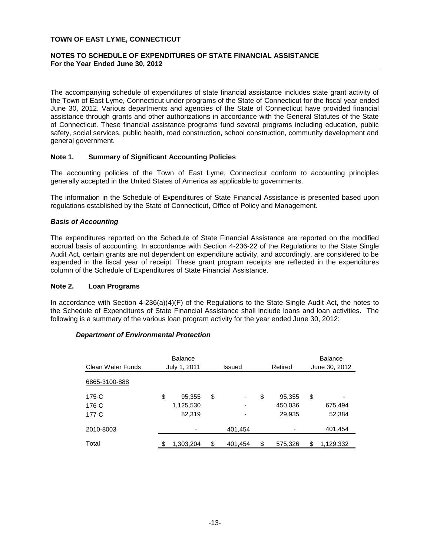# **NOTES TO SCHEDULE OF EXPENDITURES OF STATE FINANCIAL ASSISTANCE For the Year Ended June 30, 2012**

The accompanying schedule of expenditures of state financial assistance includes state grant activity of the Town of East Lyme, Connecticut under programs of the State of Connecticut for the fiscal year ended June 30, 2012. Various departments and agencies of the State of Connecticut have provided financial assistance through grants and other authorizations in accordance with the General Statutes of the State of Connecticut. These financial assistance programs fund several programs including education, public safety, social services, public health, road construction, school construction, community development and general government.

#### **Note 1. Summary of Significant Accounting Policies**

The accounting policies of the Town of East Lyme, Connecticut conform to accounting principles generally accepted in the United States of America as applicable to governments.

The information in the Schedule of Expenditures of State Financial Assistance is presented based upon regulations established by the State of Connecticut, Office of Policy and Management.

#### *Basis of Accounting*

The expenditures reported on the Schedule of State Financial Assistance are reported on the modified accrual basis of accounting. In accordance with Section 4-236-22 of the Regulations to the State Single Audit Act, certain grants are not dependent on expenditure activity, and accordingly, are considered to be expended in the fiscal year of receipt. These grant program receipts are reflected in the expenditures column of the Schedule of Expenditures of State Financial Assistance.

#### **Note 2. Loan Programs**

In accordance with Section 4-236(a)(4)(F) of the Regulations to the State Single Audit Act, the notes to the Schedule of Expenditures of State Financial Assistance shall include loans and loan activities. The following is a summary of the various loan program activity for the year ended June 30, 2012:

#### *Department of Environmental Protection*

|                          | <b>Balance</b> |               |               | <b>Balance</b>  |
|--------------------------|----------------|---------------|---------------|-----------------|
| <b>Clean Water Funds</b> | July 1, 2011   | Issued        | Retired       | June 30, 2012   |
| 6865-3100-888            |                |               |               |                 |
| 175-C                    | \$<br>95,355   | \$            | \$<br>95,355  | \$              |
| 176-C                    | 1,125,530      | -             | 450,036       | 675,494         |
| 177-C                    | 82,319         |               | 29,935        | 52,384          |
| 2010-8003                |                | 401,454       |               | 401,454         |
| Total                    | 1,303,204      | \$<br>401,454 | \$<br>575,326 | \$<br>1,129,332 |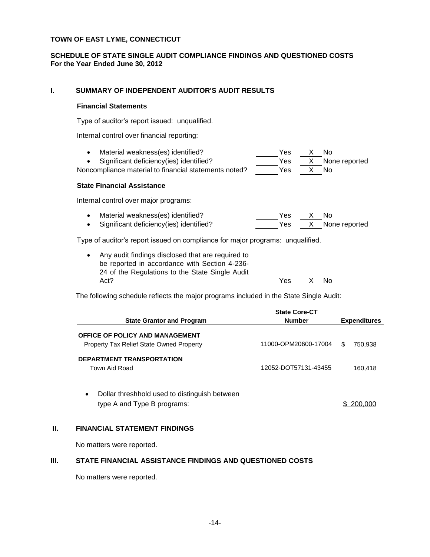## **SCHEDULE OF STATE SINGLE AUDIT COMPLIANCE FINDINGS AND QUESTIONED COSTS For the Year Ended June 30, 2012**

# **I. SUMMARY OF INDEPENDENT AUDITOR'S AUDIT RESULTS**

#### **Financial Statements**

Type of auditor's report issued: unqualified.

Internal control over financial reporting:

| Material weakness(es) identified?                     | Yes. | $\mathbf{X}$ | - No            |
|-------------------------------------------------------|------|--------------|-----------------|
| • Significant deficiency(ies) identified?             | Yes. |              | X None reported |
| Noncompliance material to financial statements noted? | Yes  |              | X No            |

# **State Financial Assistance**

Internal control over major programs:

| • Material weakness(es) identified?       | Yes X | - No            |
|-------------------------------------------|-------|-----------------|
| • Significant deficiency(ies) identified? | Yes   | X None reported |

Type of auditor's report issued on compliance for major programs: unqualified.

| • Any audit findings disclosed that are required to |     |    |     |  |
|-----------------------------------------------------|-----|----|-----|--|
| be reported in accordance with Section 4-236-       |     |    |     |  |
| 24 of the Regulations to the State Single Audit     |     |    |     |  |
| Act?                                                | Yes | X. | No. |  |

The following schedule reflects the major programs included in the State Single Audit:

|                                                            | <b>State Core-CT</b> |                     |
|------------------------------------------------------------|----------------------|---------------------|
| <b>State Grantor and Program</b>                           | <b>Number</b>        | <b>Expenditures</b> |
| <b>OFFICE OF POLICY AND MANAGEMENT</b>                     |                      |                     |
| <b>Property Tax Relief State Owned Property</b>            | 11000-OPM20600-17004 | S<br>750,938        |
| <b>DEPARTMENT TRANSPORTATION</b>                           |                      |                     |
| Town Aid Road                                              | 12052-DOT57131-43455 | 160,418             |
|                                                            |                      |                     |
| Dollar threshhold used to distinguish between<br>$\bullet$ |                      |                     |
| type A and Type B programs:                                |                      | 200.000             |

#### **II. FINANCIAL STATEMENT FINDINGS**

No matters were reported.

#### **III. STATE FINANCIAL ASSISTANCE FINDINGS AND QUESTIONED COSTS**

No matters were reported.